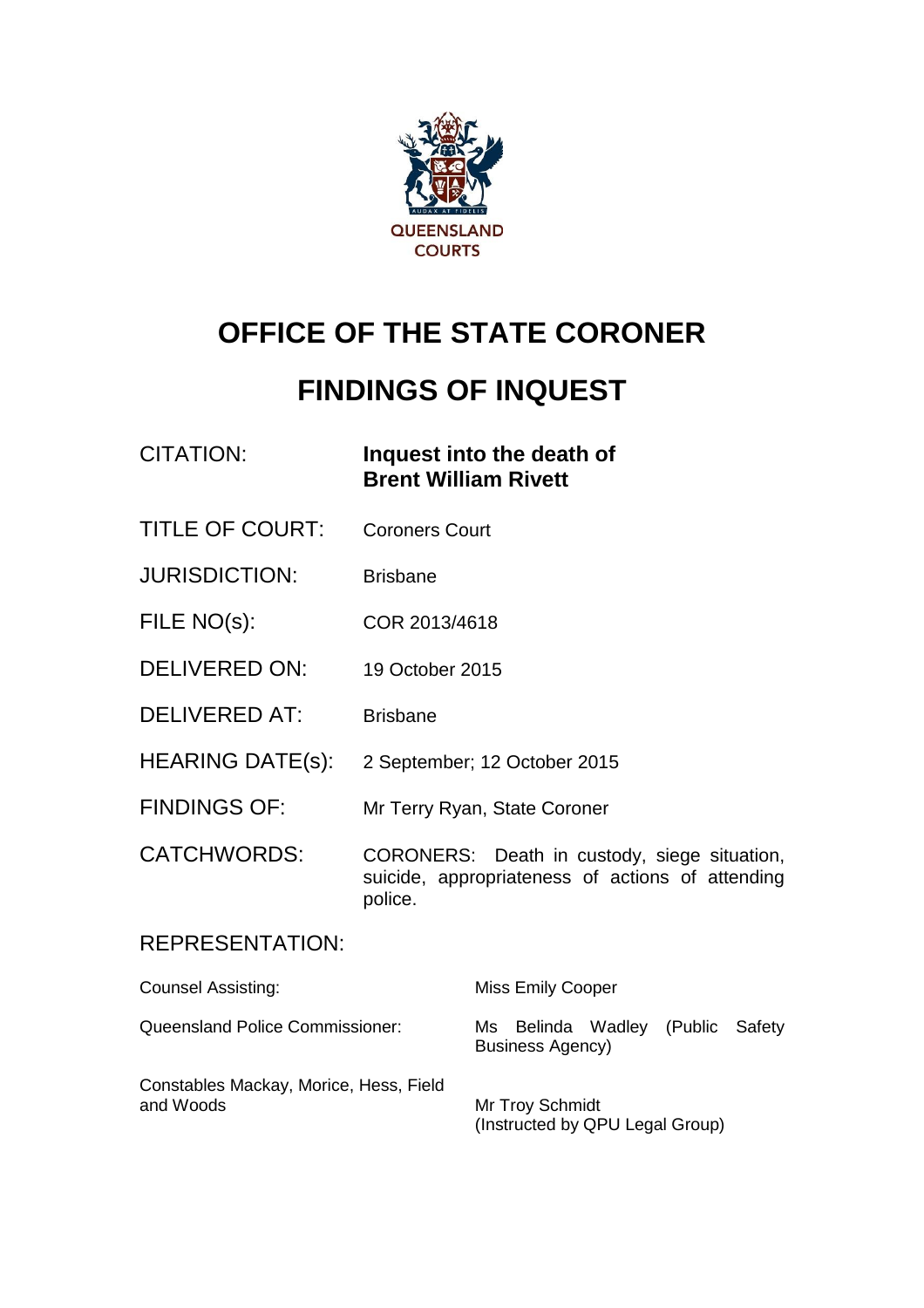

# **OFFICE OF THE STATE CORONER**

# **FINDINGS OF INQUEST**

### CITATION: **Inquest into the death of Brent William Rivett**

- TITLE OF COURT: Coroners Court
- JURISDICTION: Brisbane
- FILE NO(s): COR 2013/4618
- DELIVERED ON: 19 October 2015
- DELIVERED AT: Brisbane
- HEARING DATE(s): 2 September; 12 October 2015
- FINDINGS OF: Mr Terry Ryan, State Coroner

CATCHWORDS: CORONERS: Death in custody, siege situation, suicide, appropriateness of actions of attending police.

#### REPRESENTATION:

| <b>Counsel Assisting:</b>                           | <b>Miss Emily Cooper</b>                                    |
|-----------------------------------------------------|-------------------------------------------------------------|
| Queensland Police Commissioner:                     | Ms Belinda Wadley (Public Safety<br><b>Business Agency)</b> |
| Constables Mackay, Morice, Hess, Field<br>and Woods | Mr Troy Schmidt<br>(Instructed by QPU Legal Group)          |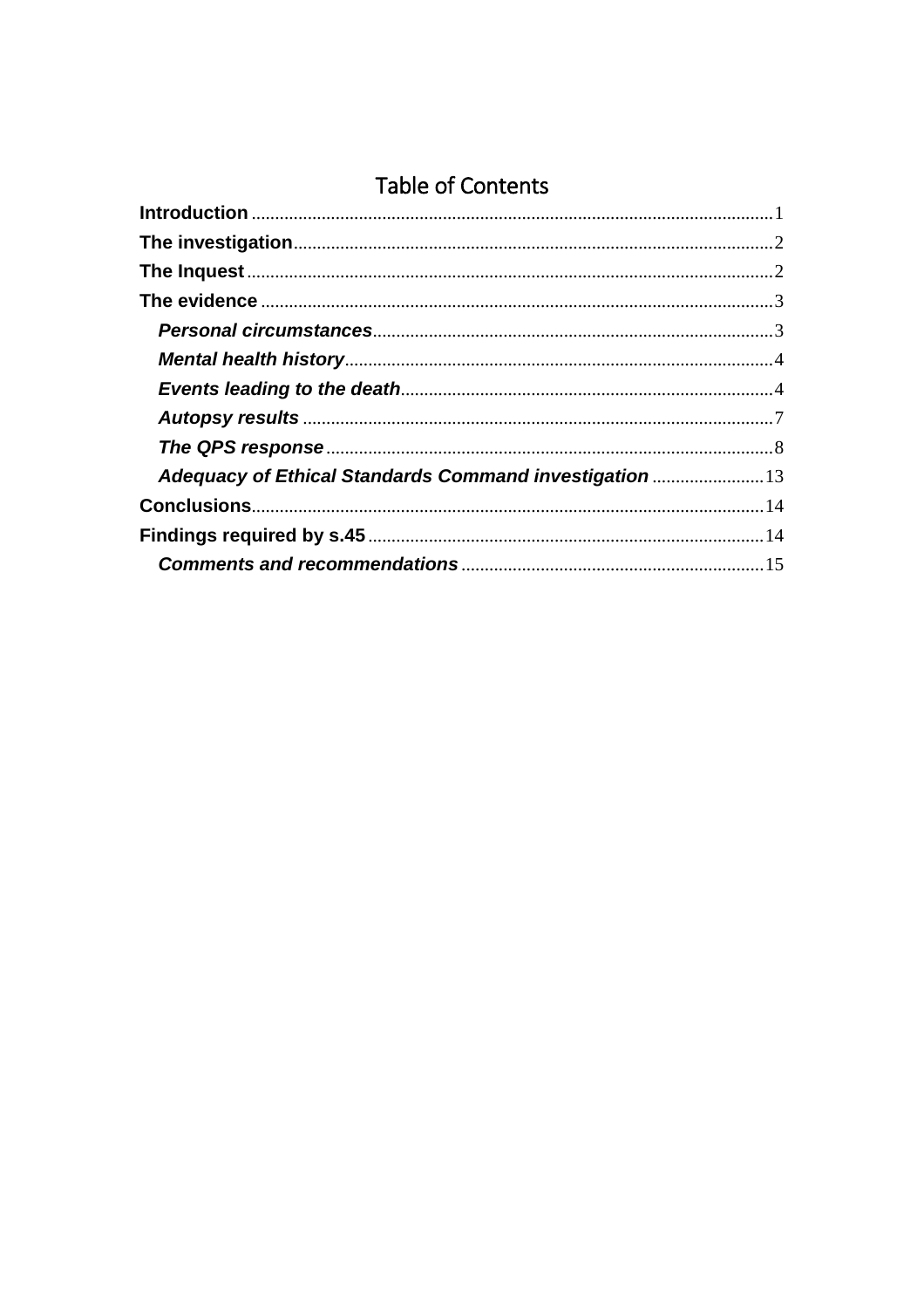## **Table of Contents**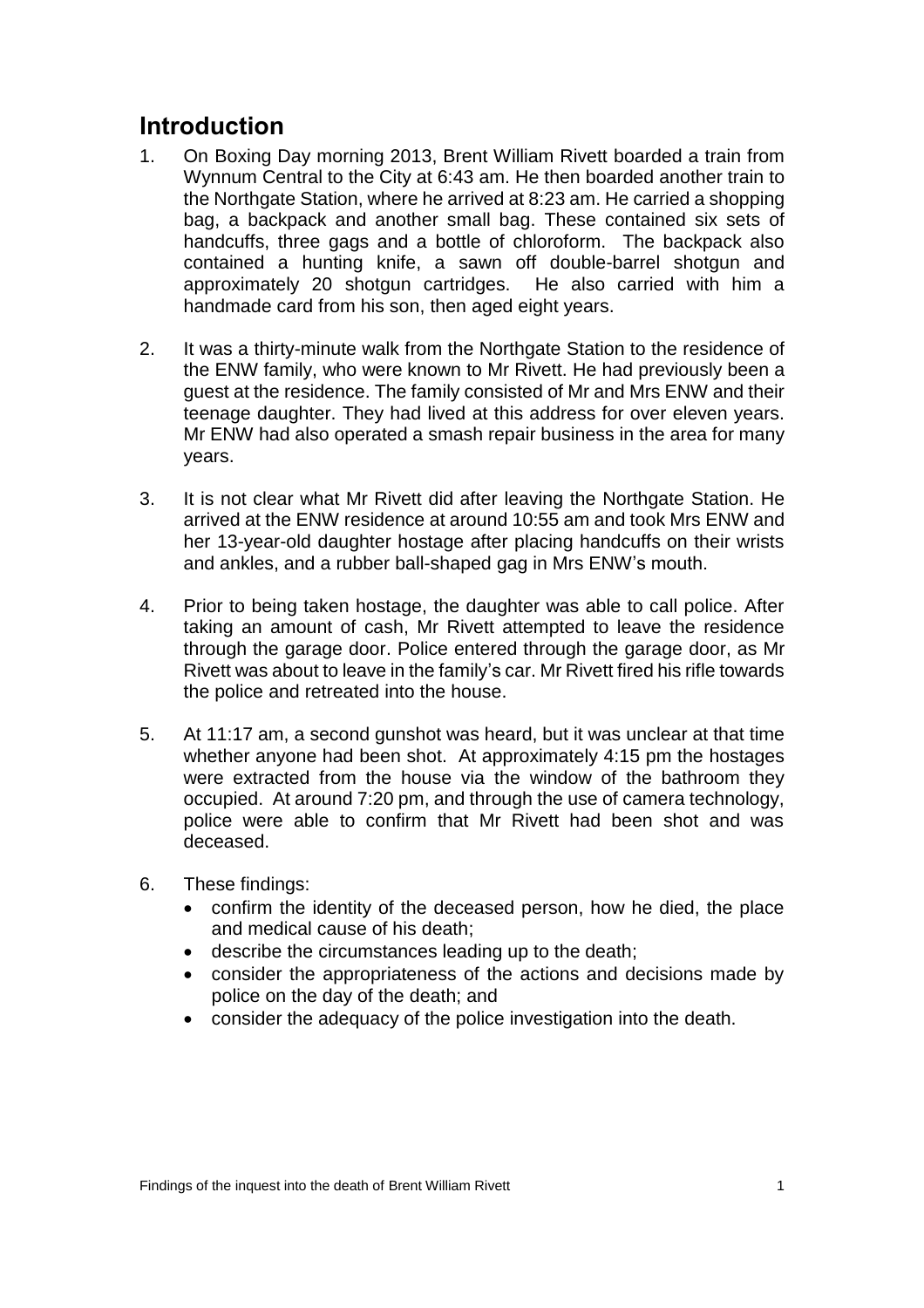## <span id="page-2-0"></span>**Introduction**

- 1. On Boxing Day morning 2013, Brent William Rivett boarded a train from Wynnum Central to the City at 6:43 am. He then boarded another train to the Northgate Station, where he arrived at 8:23 am. He carried a shopping bag, a backpack and another small bag. These contained six sets of handcuffs, three gags and a bottle of chloroform. The backpack also contained a hunting knife, a sawn off double-barrel shotgun and approximately 20 shotgun cartridges. He also carried with him a handmade card from his son, then aged eight years.
- 2. It was a thirty-minute walk from the Northgate Station to the residence of the ENW family, who were known to Mr Rivett. He had previously been a guest at the residence. The family consisted of Mr and Mrs ENW and their teenage daughter. They had lived at this address for over eleven years. Mr ENW had also operated a smash repair business in the area for many years.
- 3. It is not clear what Mr Rivett did after leaving the Northgate Station. He arrived at the ENW residence at around 10:55 am and took Mrs ENW and her 13-year-old daughter hostage after placing handcuffs on their wrists and ankles, and a rubber ball-shaped gag in Mrs ENW's mouth.
- 4. Prior to being taken hostage, the daughter was able to call police. After taking an amount of cash, Mr Rivett attempted to leave the residence through the garage door. Police entered through the garage door, as Mr Rivett was about to leave in the family's car. Mr Rivett fired his rifle towards the police and retreated into the house.
- 5. At 11:17 am, a second gunshot was heard, but it was unclear at that time whether anyone had been shot. At approximately 4:15 pm the hostages were extracted from the house via the window of the bathroom they occupied. At around 7:20 pm, and through the use of camera technology, police were able to confirm that Mr Rivett had been shot and was deceased.
- 6. These findings:
	- confirm the identity of the deceased person, how he died, the place and medical cause of his death;
	- describe the circumstances leading up to the death;
	- consider the appropriateness of the actions and decisions made by police on the day of the death; and
	- consider the adequacy of the police investigation into the death.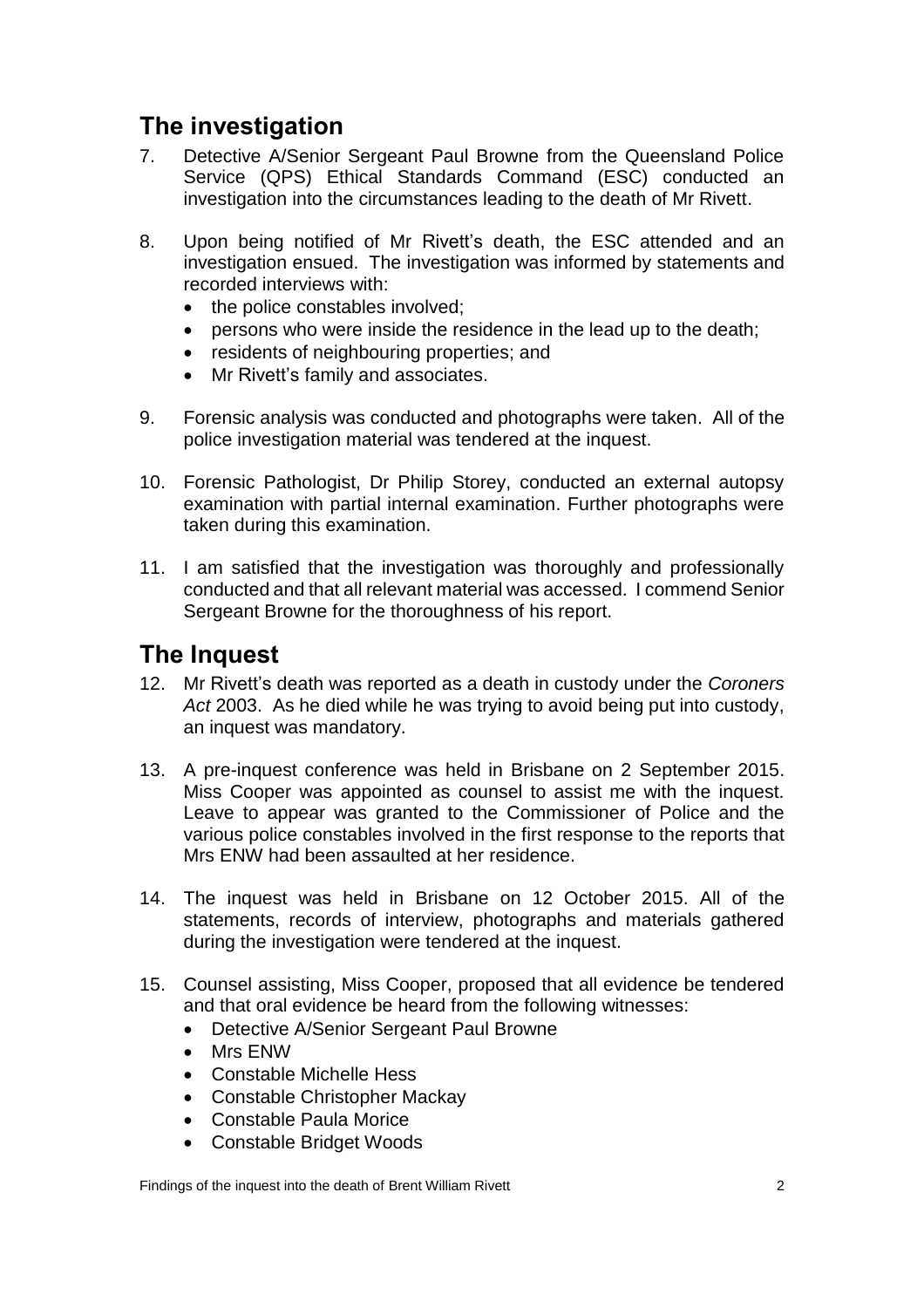## <span id="page-3-0"></span>**The investigation**

- 7. Detective A/Senior Sergeant Paul Browne from the Queensland Police Service (QPS) Ethical Standards Command (ESC) conducted an investigation into the circumstances leading to the death of Mr Rivett.
- 8. Upon being notified of Mr Rivett's death, the ESC attended and an investigation ensued. The investigation was informed by statements and recorded interviews with:
	- the police constables involved;
	- persons who were inside the residence in the lead up to the death;
	- residents of neighbouring properties; and
	- Mr Rivett's family and associates.
- 9. Forensic analysis was conducted and photographs were taken. All of the police investigation material was tendered at the inquest.
- 10. Forensic Pathologist, Dr Philip Storey, conducted an external autopsy examination with partial internal examination. Further photographs were taken during this examination.
- 11. I am satisfied that the investigation was thoroughly and professionally conducted and that all relevant material was accessed. I commend Senior Sergeant Browne for the thoroughness of his report.

### <span id="page-3-1"></span>**The Inquest**

- 12. Mr Rivett's death was reported as a death in custody under the *Coroners Act* 2003. As he died while he was trying to avoid being put into custody, an inquest was mandatory.
- 13. A pre-inquest conference was held in Brisbane on 2 September 2015. Miss Cooper was appointed as counsel to assist me with the inquest. Leave to appear was granted to the Commissioner of Police and the various police constables involved in the first response to the reports that Mrs ENW had been assaulted at her residence.
- 14. The inquest was held in Brisbane on 12 October 2015. All of the statements, records of interview, photographs and materials gathered during the investigation were tendered at the inquest.
- 15. Counsel assisting, Miss Cooper, proposed that all evidence be tendered and that oral evidence be heard from the following witnesses:
	- Detective A/Senior Sergeant Paul Browne
	- Mrs ENW
	- Constable Michelle Hess
	- Constable Christopher Mackay
	- Constable Paula Morice
	- Constable Bridget Woods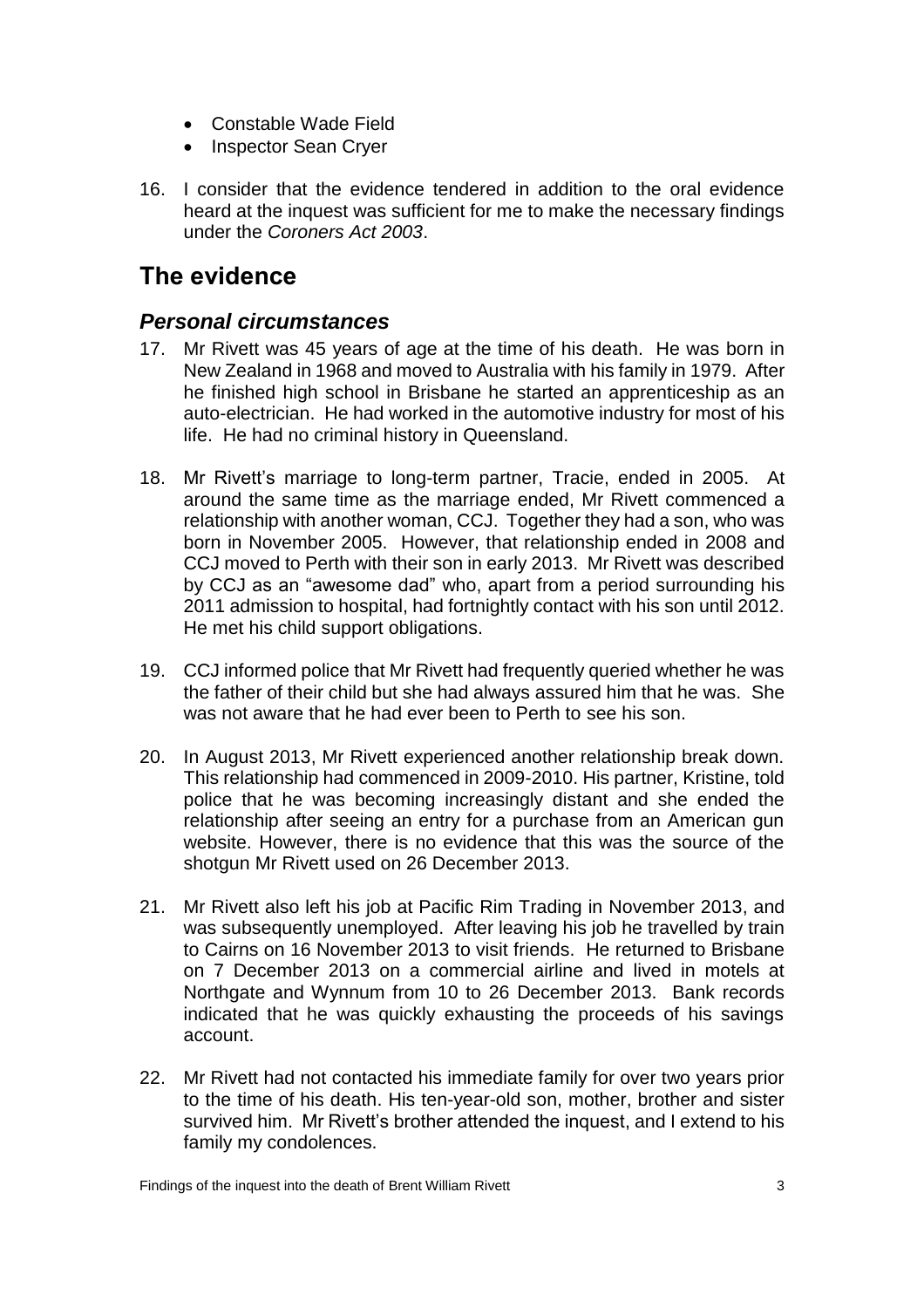- Constable Wade Field
- Inspector Sean Cryer
- 16. I consider that the evidence tendered in addition to the oral evidence heard at the inquest was sufficient for me to make the necessary findings under the *Coroners Act 2003*.

## <span id="page-4-0"></span>**The evidence**

#### <span id="page-4-1"></span>*Personal circumstances*

- 17. Mr Rivett was 45 years of age at the time of his death. He was born in New Zealand in 1968 and moved to Australia with his family in 1979. After he finished high school in Brisbane he started an apprenticeship as an auto-electrician. He had worked in the automotive industry for most of his life. He had no criminal history in Queensland.
- 18. Mr Rivett's marriage to long-term partner, Tracie, ended in 2005. At around the same time as the marriage ended, Mr Rivett commenced a relationship with another woman, CCJ. Together they had a son, who was born in November 2005. However, that relationship ended in 2008 and CCJ moved to Perth with their son in early 2013. Mr Rivett was described by CCJ as an "awesome dad" who, apart from a period surrounding his 2011 admission to hospital, had fortnightly contact with his son until 2012. He met his child support obligations.
- 19. CCJ informed police that Mr Rivett had frequently queried whether he was the father of their child but she had always assured him that he was. She was not aware that he had ever been to Perth to see his son.
- 20. In August 2013, Mr Rivett experienced another relationship break down. This relationship had commenced in 2009-2010. His partner, Kristine, told police that he was becoming increasingly distant and she ended the relationship after seeing an entry for a purchase from an American gun website. However, there is no evidence that this was the source of the shotgun Mr Rivett used on 26 December 2013.
- 21. Mr Rivett also left his job at Pacific Rim Trading in November 2013, and was subsequently unemployed. After leaving his job he travelled by train to Cairns on 16 November 2013 to visit friends. He returned to Brisbane on 7 December 2013 on a commercial airline and lived in motels at Northgate and Wynnum from 10 to 26 December 2013. Bank records indicated that he was quickly exhausting the proceeds of his savings account.
- 22. Mr Rivett had not contacted his immediate family for over two years prior to the time of his death. His ten-year-old son, mother, brother and sister survived him. Mr Rivett's brother attended the inquest, and I extend to his family my condolences.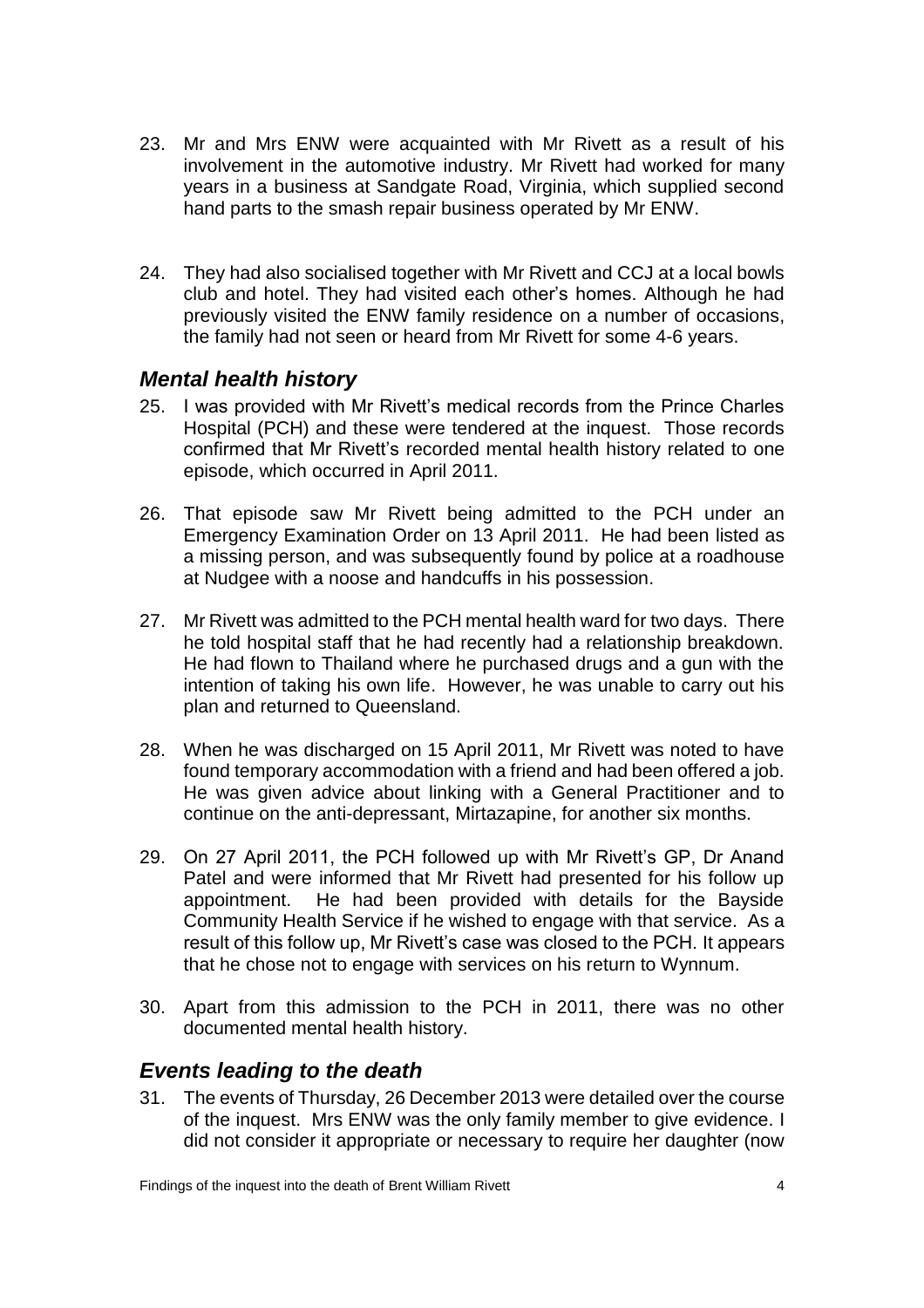- 23. Mr and Mrs ENW were acquainted with Mr Rivett as a result of his involvement in the automotive industry. Mr Rivett had worked for many years in a business at Sandgate Road, Virginia, which supplied second hand parts to the smash repair business operated by Mr ENW.
- 24. They had also socialised together with Mr Rivett and CCJ at a local bowls club and hotel. They had visited each other's homes. Although he had previously visited the ENW family residence on a number of occasions, the family had not seen or heard from Mr Rivett for some 4-6 years.

#### <span id="page-5-0"></span>*Mental health history*

- 25. I was provided with Mr Rivett's medical records from the Prince Charles Hospital (PCH) and these were tendered at the inquest. Those records confirmed that Mr Rivett's recorded mental health history related to one episode, which occurred in April 2011.
- 26. That episode saw Mr Rivett being admitted to the PCH under an Emergency Examination Order on 13 April 2011. He had been listed as a missing person, and was subsequently found by police at a roadhouse at Nudgee with a noose and handcuffs in his possession.
- 27. Mr Rivett was admitted to the PCH mental health ward for two days. There he told hospital staff that he had recently had a relationship breakdown. He had flown to Thailand where he purchased drugs and a gun with the intention of taking his own life. However, he was unable to carry out his plan and returned to Queensland.
- 28. When he was discharged on 15 April 2011, Mr Rivett was noted to have found temporary accommodation with a friend and had been offered a job. He was given advice about linking with a General Practitioner and to continue on the anti-depressant, Mirtazapine, for another six months.
- 29. On 27 April 2011, the PCH followed up with Mr Rivett's GP, Dr Anand Patel and were informed that Mr Rivett had presented for his follow up appointment. He had been provided with details for the Bayside Community Health Service if he wished to engage with that service. As a result of this follow up, Mr Rivett's case was closed to the PCH. It appears that he chose not to engage with services on his return to Wynnum.
- 30. Apart from this admission to the PCH in 2011, there was no other documented mental health history.

#### <span id="page-5-1"></span>*Events leading to the death*

31. The events of Thursday, 26 December 2013 were detailed over the course of the inquest. Mrs ENW was the only family member to give evidence. I did not consider it appropriate or necessary to require her daughter (now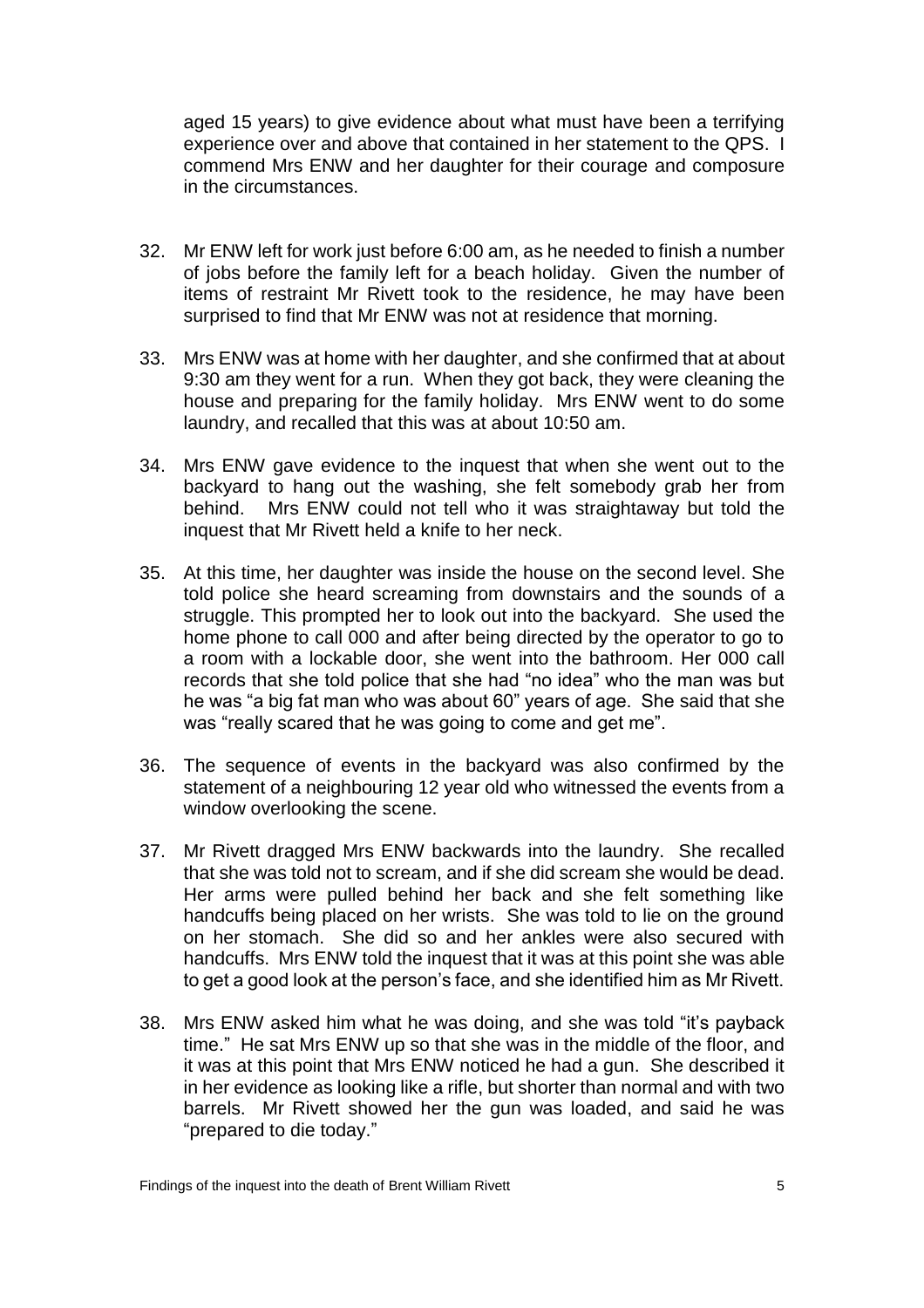aged 15 years) to give evidence about what must have been a terrifying experience over and above that contained in her statement to the QPS. I commend Mrs ENW and her daughter for their courage and composure in the circumstances.

- 32. Mr ENW left for work just before 6:00 am, as he needed to finish a number of jobs before the family left for a beach holiday. Given the number of items of restraint Mr Rivett took to the residence, he may have been surprised to find that Mr ENW was not at residence that morning.
- 33. Mrs ENW was at home with her daughter, and she confirmed that at about 9:30 am they went for a run. When they got back, they were cleaning the house and preparing for the family holiday. Mrs ENW went to do some laundry, and recalled that this was at about 10:50 am.
- 34. Mrs ENW gave evidence to the inquest that when she went out to the backyard to hang out the washing, she felt somebody grab her from behind. Mrs ENW could not tell who it was straightaway but told the inquest that Mr Rivett held a knife to her neck.
- 35. At this time, her daughter was inside the house on the second level. She told police she heard screaming from downstairs and the sounds of a struggle. This prompted her to look out into the backyard. She used the home phone to call 000 and after being directed by the operator to go to a room with a lockable door, she went into the bathroom. Her 000 call records that she told police that she had "no idea" who the man was but he was "a big fat man who was about 60" years of age. She said that she was "really scared that he was going to come and get me".
- 36. The sequence of events in the backyard was also confirmed by the statement of a neighbouring 12 year old who witnessed the events from a window overlooking the scene.
- 37. Mr Rivett dragged Mrs ENW backwards into the laundry. She recalled that she was told not to scream, and if she did scream she would be dead. Her arms were pulled behind her back and she felt something like handcuffs being placed on her wrists. She was told to lie on the ground on her stomach. She did so and her ankles were also secured with handcuffs. Mrs ENW told the inquest that it was at this point she was able to get a good look at the person's face, and she identified him as Mr Rivett.
- 38. Mrs ENW asked him what he was doing, and she was told "it's payback time." He sat Mrs ENW up so that she was in the middle of the floor, and it was at this point that Mrs ENW noticed he had a gun. She described it in her evidence as looking like a rifle, but shorter than normal and with two barrels. Mr Rivett showed her the gun was loaded, and said he was "prepared to die today."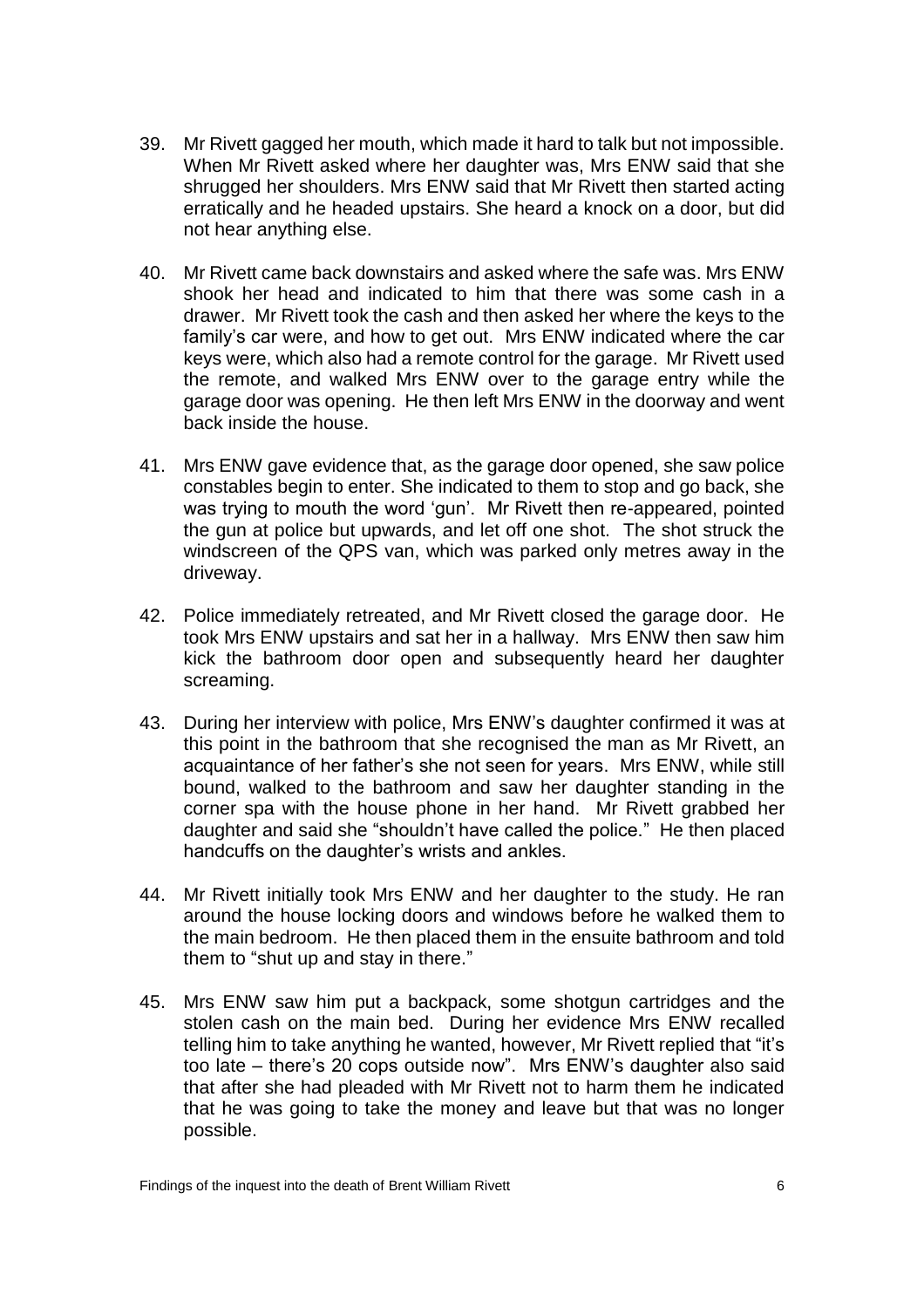- 39. Mr Rivett gagged her mouth, which made it hard to talk but not impossible. When Mr Rivett asked where her daughter was, Mrs ENW said that she shrugged her shoulders. Mrs ENW said that Mr Rivett then started acting erratically and he headed upstairs. She heard a knock on a door, but did not hear anything else.
- 40. Mr Rivett came back downstairs and asked where the safe was. Mrs ENW shook her head and indicated to him that there was some cash in a drawer. Mr Rivett took the cash and then asked her where the keys to the family's car were, and how to get out. Mrs ENW indicated where the car keys were, which also had a remote control for the garage. Mr Rivett used the remote, and walked Mrs ENW over to the garage entry while the garage door was opening. He then left Mrs ENW in the doorway and went back inside the house.
- 41. Mrs ENW gave evidence that, as the garage door opened, she saw police constables begin to enter. She indicated to them to stop and go back, she was trying to mouth the word 'gun'. Mr Rivett then re-appeared, pointed the gun at police but upwards, and let off one shot. The shot struck the windscreen of the QPS van, which was parked only metres away in the driveway.
- 42. Police immediately retreated, and Mr Rivett closed the garage door. He took Mrs ENW upstairs and sat her in a hallway. Mrs ENW then saw him kick the bathroom door open and subsequently heard her daughter screaming.
- 43. During her interview with police, Mrs ENW's daughter confirmed it was at this point in the bathroom that she recognised the man as Mr Rivett, an acquaintance of her father's she not seen for years. Mrs ENW, while still bound, walked to the bathroom and saw her daughter standing in the corner spa with the house phone in her hand. Mr Rivett grabbed her daughter and said she "shouldn't have called the police." He then placed handcuffs on the daughter's wrists and ankles.
- 44. Mr Rivett initially took Mrs ENW and her daughter to the study. He ran around the house locking doors and windows before he walked them to the main bedroom. He then placed them in the ensuite bathroom and told them to "shut up and stay in there."
- 45. Mrs ENW saw him put a backpack, some shotgun cartridges and the stolen cash on the main bed. During her evidence Mrs ENW recalled telling him to take anything he wanted, however, Mr Rivett replied that "it's too late – there's 20 cops outside now". Mrs ENW's daughter also said that after she had pleaded with Mr Rivett not to harm them he indicated that he was going to take the money and leave but that was no longer possible.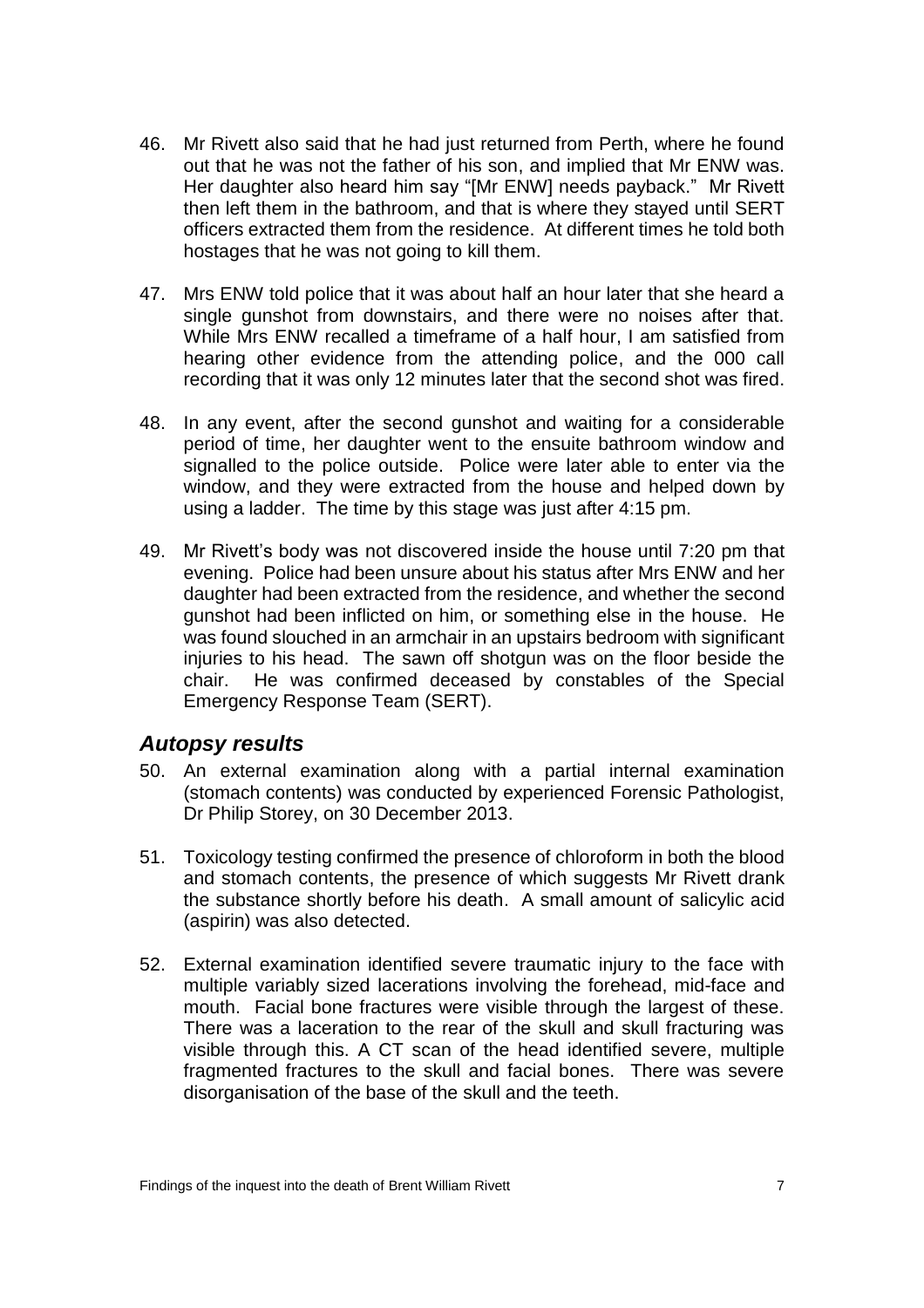- 46. Mr Rivett also said that he had just returned from Perth, where he found out that he was not the father of his son, and implied that Mr ENW was. Her daughter also heard him say "[Mr ENW] needs payback." Mr Rivett then left them in the bathroom, and that is where they stayed until SERT officers extracted them from the residence. At different times he told both hostages that he was not going to kill them.
- 47. Mrs ENW told police that it was about half an hour later that she heard a single gunshot from downstairs, and there were no noises after that. While Mrs ENW recalled a timeframe of a half hour, I am satisfied from hearing other evidence from the attending police, and the 000 call recording that it was only 12 minutes later that the second shot was fired.
- 48. In any event, after the second gunshot and waiting for a considerable period of time, her daughter went to the ensuite bathroom window and signalled to the police outside. Police were later able to enter via the window, and they were extracted from the house and helped down by using a ladder. The time by this stage was just after 4:15 pm.
- 49. Mr Rivett's body was not discovered inside the house until 7:20 pm that evening. Police had been unsure about his status after Mrs ENW and her daughter had been extracted from the residence, and whether the second gunshot had been inflicted on him, or something else in the house. He was found slouched in an armchair in an upstairs bedroom with significant injuries to his head. The sawn off shotgun was on the floor beside the chair. He was confirmed deceased by constables of the Special Emergency Response Team (SERT).

#### <span id="page-8-0"></span>*Autopsy results*

- 50. An external examination along with a partial internal examination (stomach contents) was conducted by experienced Forensic Pathologist, Dr Philip Storey, on 30 December 2013.
- 51. Toxicology testing confirmed the presence of chloroform in both the blood and stomach contents, the presence of which suggests Mr Rivett drank the substance shortly before his death. A small amount of salicylic acid (aspirin) was also detected.
- 52. External examination identified severe traumatic injury to the face with multiple variably sized lacerations involving the forehead, mid-face and mouth. Facial bone fractures were visible through the largest of these. There was a laceration to the rear of the skull and skull fracturing was visible through this. A CT scan of the head identified severe, multiple fragmented fractures to the skull and facial bones. There was severe disorganisation of the base of the skull and the teeth.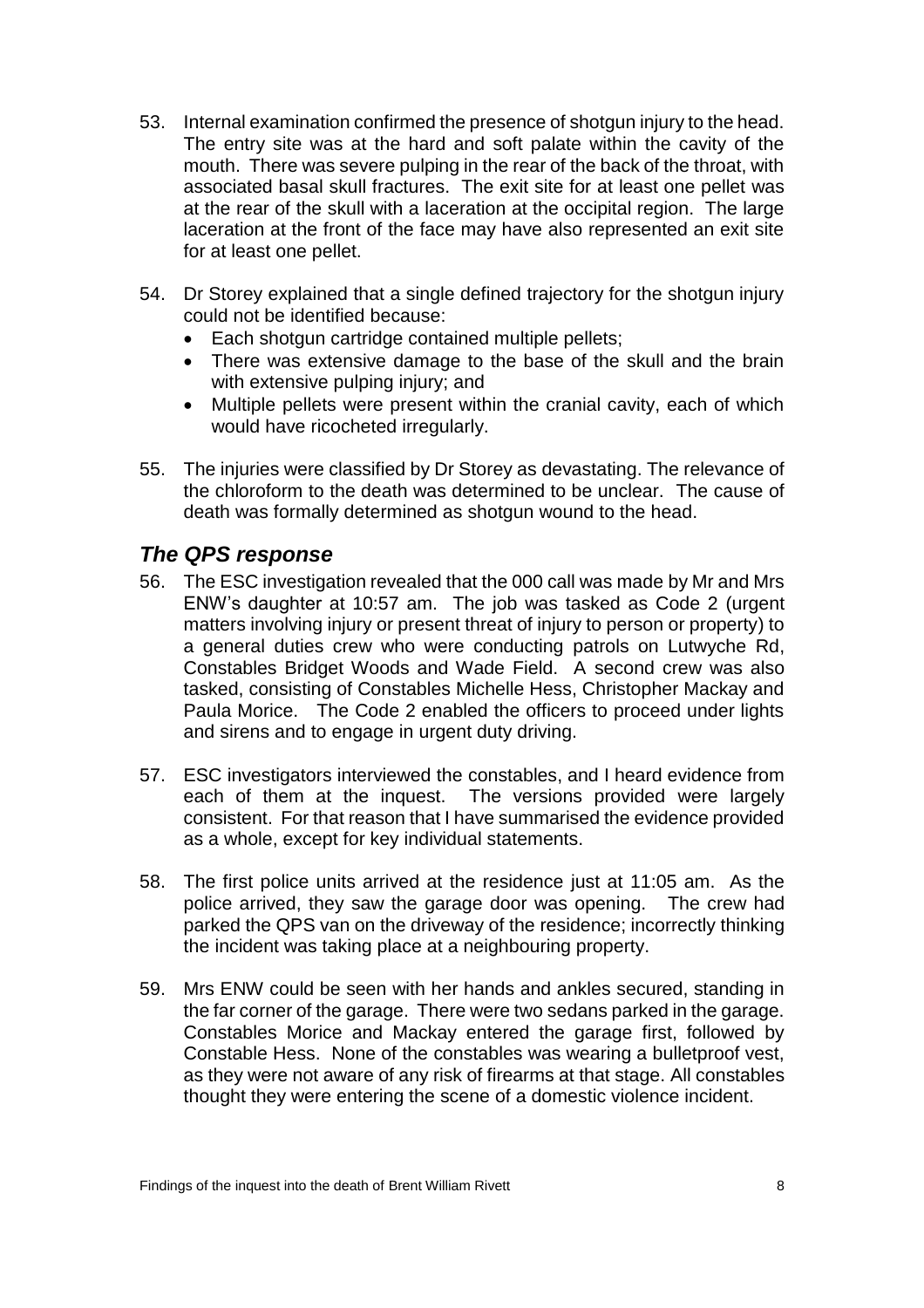- 53. Internal examination confirmed the presence of shotgun injury to the head. The entry site was at the hard and soft palate within the cavity of the mouth. There was severe pulping in the rear of the back of the throat, with associated basal skull fractures. The exit site for at least one pellet was at the rear of the skull with a laceration at the occipital region. The large laceration at the front of the face may have also represented an exit site for at least one pellet.
- 54. Dr Storey explained that a single defined trajectory for the shotgun injury could not be identified because:
	- Each shotgun cartridge contained multiple pellets;
	- There was extensive damage to the base of the skull and the brain with extensive pulping injury; and
	- Multiple pellets were present within the cranial cavity, each of which would have ricocheted irregularly.
- 55. The injuries were classified by Dr Storey as devastating. The relevance of the chloroform to the death was determined to be unclear. The cause of death was formally determined as shotgun wound to the head.

#### <span id="page-9-0"></span>*The QPS response*

- 56. The ESC investigation revealed that the 000 call was made by Mr and Mrs ENW's daughter at 10:57 am. The job was tasked as Code 2 (urgent matters involving injury or present threat of injury to person or property) to a general duties crew who were conducting patrols on Lutwyche Rd, Constables Bridget Woods and Wade Field. A second crew was also tasked, consisting of Constables Michelle Hess, Christopher Mackay and Paula Morice. The Code 2 enabled the officers to proceed under lights and sirens and to engage in urgent duty driving.
- 57. ESC investigators interviewed the constables, and I heard evidence from each of them at the inquest. The versions provided were largely consistent. For that reason that I have summarised the evidence provided as a whole, except for key individual statements.
- 58. The first police units arrived at the residence just at 11:05 am. As the police arrived, they saw the garage door was opening. The crew had parked the QPS van on the driveway of the residence; incorrectly thinking the incident was taking place at a neighbouring property.
- 59. Mrs ENW could be seen with her hands and ankles secured, standing in the far corner of the garage. There were two sedans parked in the garage. Constables Morice and Mackay entered the garage first, followed by Constable Hess. None of the constables was wearing a bulletproof vest, as they were not aware of any risk of firearms at that stage. All constables thought they were entering the scene of a domestic violence incident.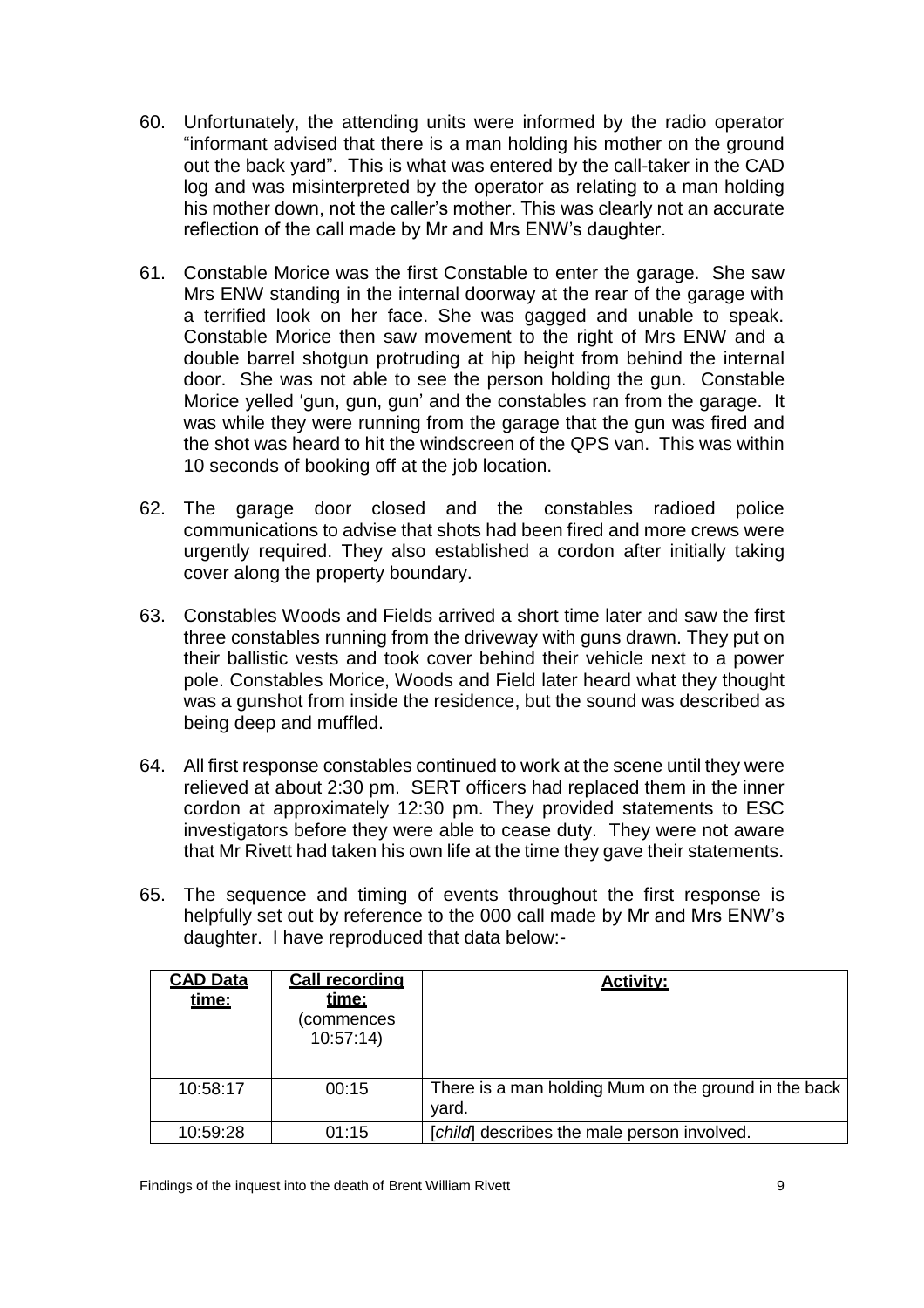- 60. Unfortunately, the attending units were informed by the radio operator "informant advised that there is a man holding his mother on the ground out the back yard". This is what was entered by the call-taker in the CAD log and was misinterpreted by the operator as relating to a man holding his mother down, not the caller's mother. This was clearly not an accurate reflection of the call made by Mr and Mrs ENW's daughter.
- 61. Constable Morice was the first Constable to enter the garage. She saw Mrs ENW standing in the internal doorway at the rear of the garage with a terrified look on her face. She was gagged and unable to speak. Constable Morice then saw movement to the right of Mrs ENW and a double barrel shotgun protruding at hip height from behind the internal door. She was not able to see the person holding the gun. Constable Morice yelled 'gun, gun, gun' and the constables ran from the garage. It was while they were running from the garage that the gun was fired and the shot was heard to hit the windscreen of the QPS van. This was within 10 seconds of booking off at the job location.
- 62. The garage door closed and the constables radioed police communications to advise that shots had been fired and more crews were urgently required. They also established a cordon after initially taking cover along the property boundary.
- 63. Constables Woods and Fields arrived a short time later and saw the first three constables running from the driveway with guns drawn. They put on their ballistic vests and took cover behind their vehicle next to a power pole. Constables Morice, Woods and Field later heard what they thought was a gunshot from inside the residence, but the sound was described as being deep and muffled.
- 64. All first response constables continued to work at the scene until they were relieved at about 2:30 pm. SERT officers had replaced them in the inner cordon at approximately 12:30 pm. They provided statements to ESC investigators before they were able to cease duty. They were not aware that Mr Rivett had taken his own life at the time they gave their statements.
- 65. The sequence and timing of events throughout the first response is helpfully set out by reference to the 000 call made by Mr and Mrs ENW's daughter. I have reproduced that data below:-

| <b>CAD Data</b><br>time: | <b>Call recording</b><br><u>time:</u><br>(commences<br>10:57:14 | <b>Activity:</b>                                              |
|--------------------------|-----------------------------------------------------------------|---------------------------------------------------------------|
| 10:58:17                 | 00:15                                                           | There is a man holding Mum on the ground in the back<br>yard. |
| 10:59:28                 | 01:15                                                           | [child] describes the male person involved.                   |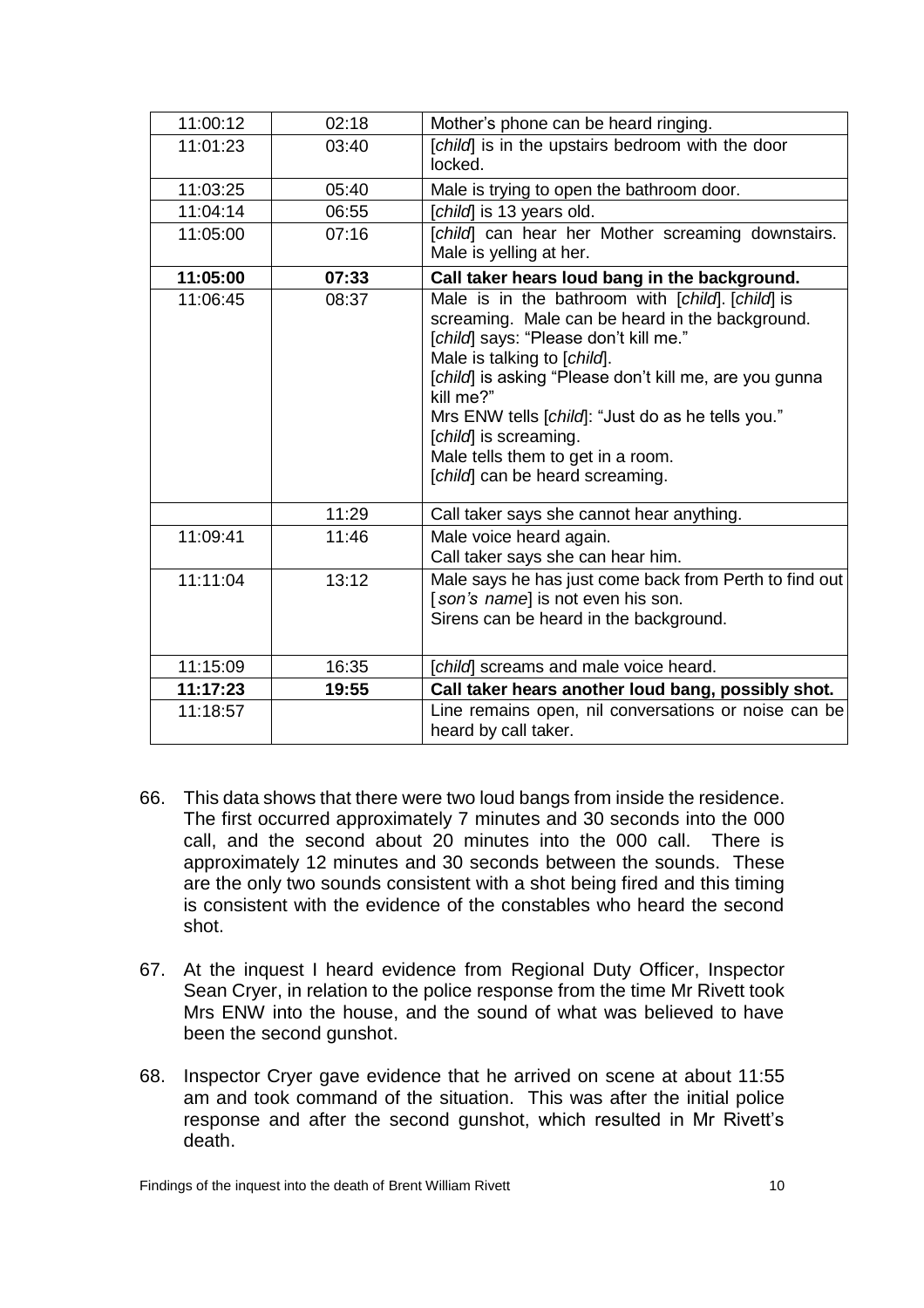| 11:00:12 | 02:18 | Mother's phone can be heard ringing.                                                                                                                                                                                                                                                                                                                                                                     |
|----------|-------|----------------------------------------------------------------------------------------------------------------------------------------------------------------------------------------------------------------------------------------------------------------------------------------------------------------------------------------------------------------------------------------------------------|
| 11:01:23 | 03:40 | [child] is in the upstairs bedroom with the door<br>locked.                                                                                                                                                                                                                                                                                                                                              |
| 11:03:25 | 05:40 | Male is trying to open the bathroom door.                                                                                                                                                                                                                                                                                                                                                                |
| 11:04:14 | 06:55 | [child] is 13 years old.                                                                                                                                                                                                                                                                                                                                                                                 |
| 11:05:00 | 07:16 | [child] can hear her Mother screaming downstairs.<br>Male is yelling at her.                                                                                                                                                                                                                                                                                                                             |
| 11:05:00 | 07:33 | Call taker hears loud bang in the background.                                                                                                                                                                                                                                                                                                                                                            |
| 11:06:45 | 08:37 | Male is in the bathroom with [child]. [child] is<br>screaming. Male can be heard in the background.<br>[child] says: "Please don't kill me."<br>Male is talking to [child].<br>[child] is asking "Please don't kill me, are you gunna<br>kill me?"<br>Mrs ENW tells [child]: "Just do as he tells you."<br>[child] is screaming.<br>Male tells them to get in a room.<br>[child] can be heard screaming. |
|          | 11:29 | Call taker says she cannot hear anything.                                                                                                                                                                                                                                                                                                                                                                |
| 11:09:41 | 11:46 | Male voice heard again.<br>Call taker says she can hear him.                                                                                                                                                                                                                                                                                                                                             |
| 11:11:04 | 13:12 | Male says he has just come back from Perth to find out<br>[son's name] is not even his son.<br>Sirens can be heard in the background.                                                                                                                                                                                                                                                                    |
| 11:15:09 | 16:35 | [child] screams and male voice heard.                                                                                                                                                                                                                                                                                                                                                                    |
| 11:17:23 | 19:55 | Call taker hears another loud bang, possibly shot.                                                                                                                                                                                                                                                                                                                                                       |
| 11:18:57 |       | Line remains open, nil conversations or noise can be<br>heard by call taker.                                                                                                                                                                                                                                                                                                                             |

- 66. This data shows that there were two loud bangs from inside the residence. The first occurred approximately 7 minutes and 30 seconds into the 000 call, and the second about 20 minutes into the 000 call. There is approximately 12 minutes and 30 seconds between the sounds. These are the only two sounds consistent with a shot being fired and this timing is consistent with the evidence of the constables who heard the second shot.
- 67. At the inquest I heard evidence from Regional Duty Officer, Inspector Sean Cryer, in relation to the police response from the time Mr Rivett took Mrs ENW into the house, and the sound of what was believed to have been the second gunshot.
- 68. Inspector Cryer gave evidence that he arrived on scene at about 11:55 am and took command of the situation. This was after the initial police response and after the second gunshot, which resulted in Mr Rivett's death.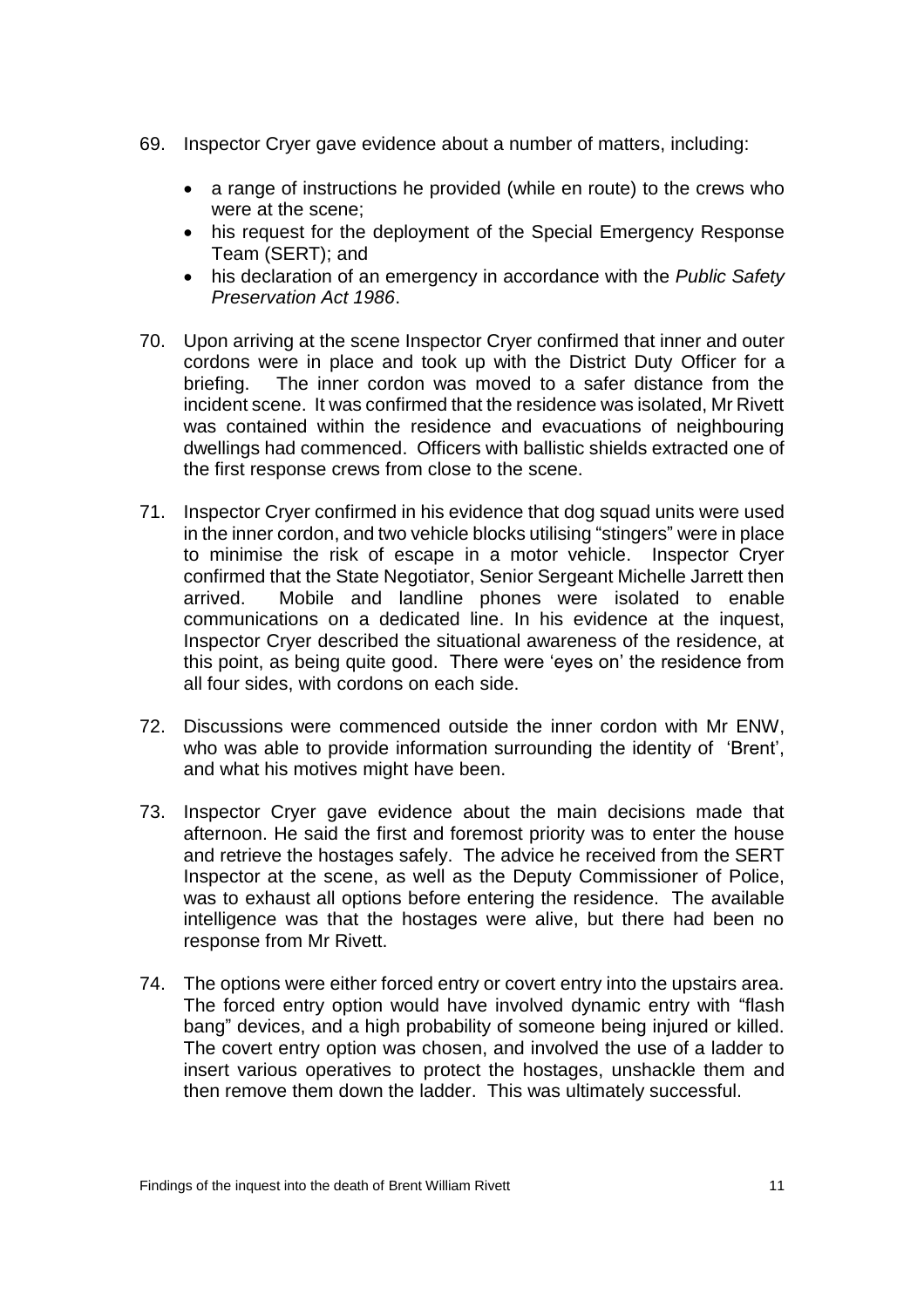- 69. Inspector Cryer gave evidence about a number of matters, including:
	- a range of instructions he provided (while en route) to the crews who were at the scene;
	- his request for the deployment of the Special Emergency Response Team (SERT); and
	- his declaration of an emergency in accordance with the *Public Safety Preservation Act 1986*.
- 70. Upon arriving at the scene Inspector Cryer confirmed that inner and outer cordons were in place and took up with the District Duty Officer for a briefing. The inner cordon was moved to a safer distance from the incident scene. It was confirmed that the residence was isolated, Mr Rivett was contained within the residence and evacuations of neighbouring dwellings had commenced. Officers with ballistic shields extracted one of the first response crews from close to the scene.
- 71. Inspector Cryer confirmed in his evidence that dog squad units were used in the inner cordon, and two vehicle blocks utilising "stingers" were in place to minimise the risk of escape in a motor vehicle. Inspector Cryer confirmed that the State Negotiator, Senior Sergeant Michelle Jarrett then arrived. Mobile and landline phones were isolated to enable communications on a dedicated line. In his evidence at the inquest, Inspector Cryer described the situational awareness of the residence, at this point, as being quite good. There were 'eyes on' the residence from all four sides, with cordons on each side.
- 72. Discussions were commenced outside the inner cordon with Mr ENW, who was able to provide information surrounding the identity of 'Brent', and what his motives might have been.
- 73. Inspector Cryer gave evidence about the main decisions made that afternoon. He said the first and foremost priority was to enter the house and retrieve the hostages safely. The advice he received from the SERT Inspector at the scene, as well as the Deputy Commissioner of Police, was to exhaust all options before entering the residence. The available intelligence was that the hostages were alive, but there had been no response from Mr Rivett.
- 74. The options were either forced entry or covert entry into the upstairs area. The forced entry option would have involved dynamic entry with "flash bang" devices, and a high probability of someone being injured or killed. The covert entry option was chosen, and involved the use of a ladder to insert various operatives to protect the hostages, unshackle them and then remove them down the ladder. This was ultimately successful.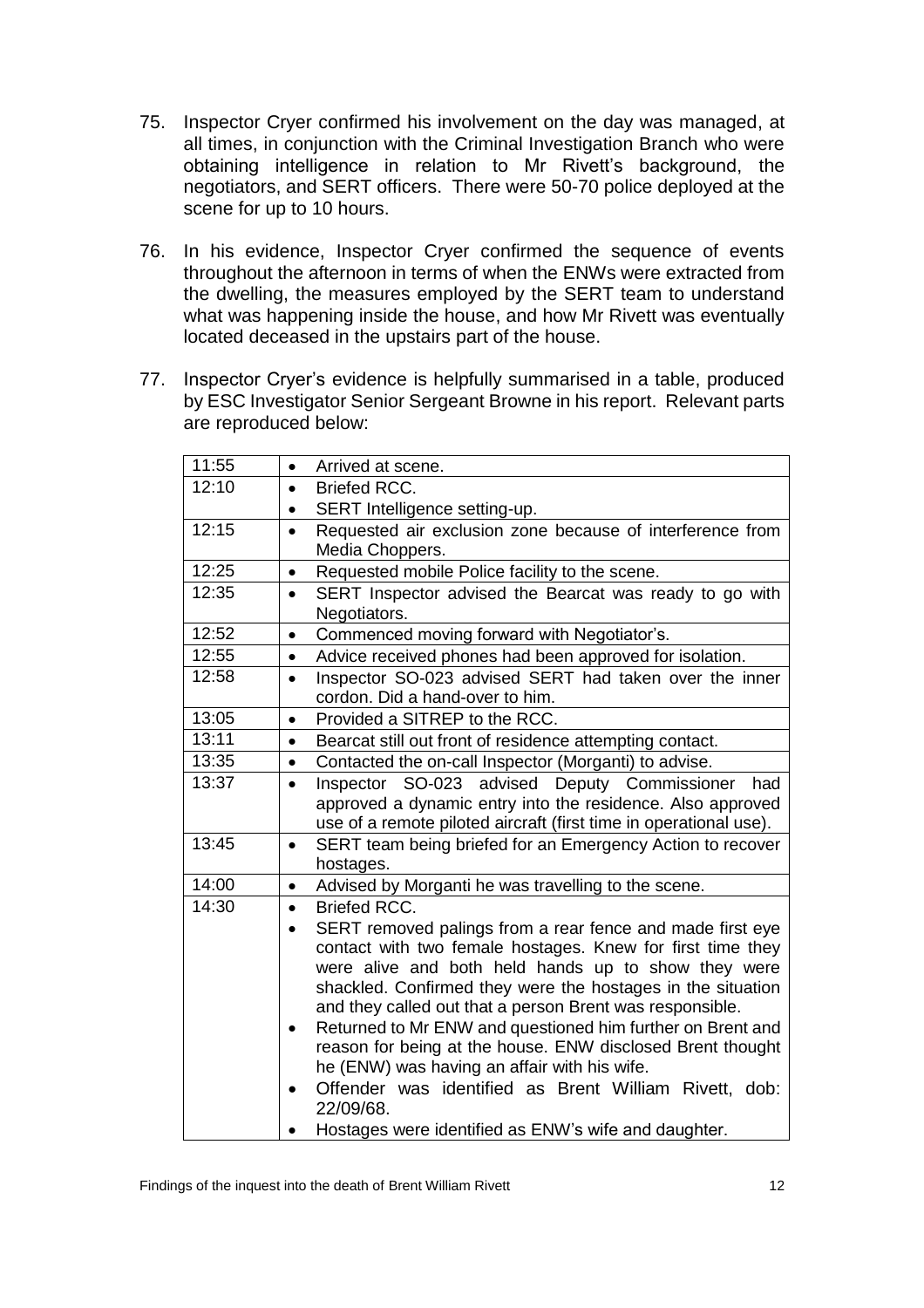- 75. Inspector Cryer confirmed his involvement on the day was managed, at all times, in conjunction with the Criminal Investigation Branch who were obtaining intelligence in relation to Mr Rivett's background, the negotiators, and SERT officers. There were 50-70 police deployed at the scene for up to 10 hours.
- 76. In his evidence, Inspector Cryer confirmed the sequence of events throughout the afternoon in terms of when the ENWs were extracted from the dwelling, the measures employed by the SERT team to understand what was happening inside the house, and how Mr Rivett was eventually located deceased in the upstairs part of the house.
- 77. Inspector Cryer's evidence is helpfully summarised in a table, produced by ESC Investigator Senior Sergeant Browne in his report. Relevant parts are reproduced below:

| 11:55 | Arrived at scene.<br>$\bullet$                                                                             |
|-------|------------------------------------------------------------------------------------------------------------|
| 12:10 | Briefed RCC.<br>$\bullet$                                                                                  |
|       | SERT Intelligence setting-up.<br>$\bullet$                                                                 |
| 12:15 | Requested air exclusion zone because of interference from<br>$\bullet$                                     |
|       | Media Choppers.                                                                                            |
| 12:25 | Requested mobile Police facility to the scene.<br>$\bullet$                                                |
| 12:35 | SERT Inspector advised the Bearcat was ready to go with<br>$\bullet$                                       |
|       | Negotiators.                                                                                               |
| 12:52 | Commenced moving forward with Negotiator's.<br>$\bullet$                                                   |
| 12:55 | Advice received phones had been approved for isolation.<br>$\bullet$                                       |
| 12:58 | Inspector SO-023 advised SERT had taken over the inner<br>$\bullet$                                        |
|       | cordon. Did a hand-over to him.                                                                            |
| 13:05 | Provided a SITREP to the RCC.<br>$\bullet$                                                                 |
| 13:11 | Bearcat still out front of residence attempting contact.<br>$\bullet$                                      |
| 13:35 | Contacted the on-call Inspector (Morganti) to advise.<br>$\bullet$                                         |
| 13:37 | Inspector SO-023 advised Deputy Commissioner<br>had<br>$\bullet$                                           |
|       | approved a dynamic entry into the residence. Also approved                                                 |
|       | use of a remote piloted aircraft (first time in operational use).                                          |
| 13:45 | SERT team being briefed for an Emergency Action to recover<br>$\bullet$                                    |
|       | hostages.                                                                                                  |
| 14:00 | Advised by Morganti he was travelling to the scene.<br>$\bullet$                                           |
| 14:30 | <b>Briefed RCC.</b><br>$\bullet$                                                                           |
|       | SERT removed palings from a rear fence and made first eye                                                  |
|       | contact with two female hostages. Knew for first time they                                                 |
|       | were alive and both held hands up to show they were                                                        |
|       | shackled. Confirmed they were the hostages in the situation                                                |
|       | and they called out that a person Brent was responsible.                                                   |
|       | Returned to Mr ENW and questioned him further on Brent and                                                 |
|       | reason for being at the house. ENW disclosed Brent thought<br>he (ENW) was having an affair with his wife. |
|       | Offender was identified as Brent William Rivett, dob:                                                      |
|       | 22/09/68.                                                                                                  |
|       |                                                                                                            |
|       | Hostages were identified as ENW's wife and daughter.                                                       |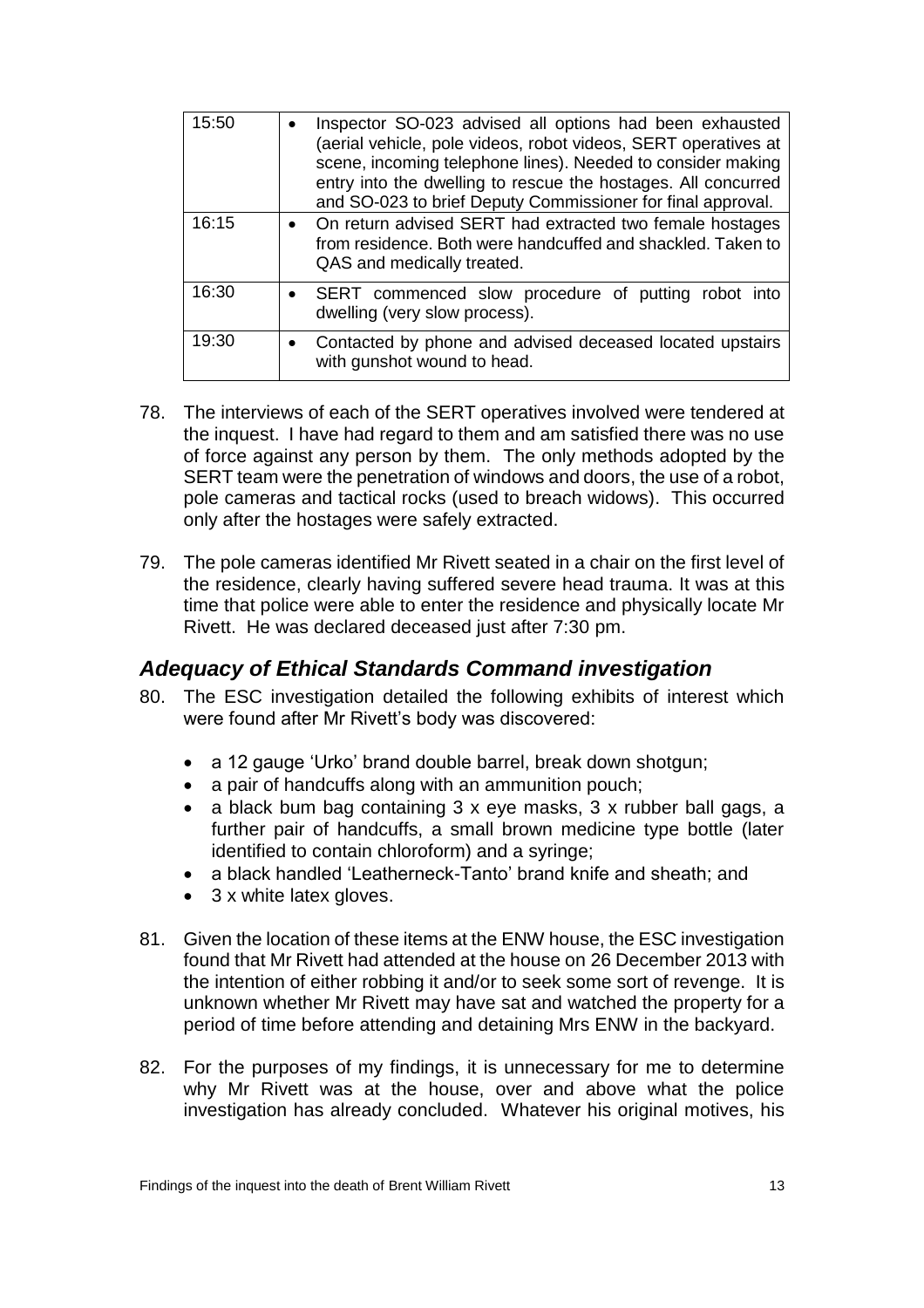| 15:50 | Inspector SO-023 advised all options had been exhausted<br>$\bullet$<br>(aerial vehicle, pole videos, robot videos, SERT operatives at<br>scene, incoming telephone lines). Needed to consider making<br>entry into the dwelling to rescue the hostages. All concurred<br>and SO-023 to brief Deputy Commissioner for final approval. |
|-------|---------------------------------------------------------------------------------------------------------------------------------------------------------------------------------------------------------------------------------------------------------------------------------------------------------------------------------------|
| 16:15 | • On return advised SERT had extracted two female hostages<br>from residence. Both were handcuffed and shackled. Taken to<br>QAS and medically treated.                                                                                                                                                                               |
| 16:30 | • SERT commenced slow procedure of putting robot into<br>dwelling (very slow process).                                                                                                                                                                                                                                                |
| 19:30 | Contacted by phone and advised deceased located upstairs<br>$\bullet$<br>with gunshot wound to head.                                                                                                                                                                                                                                  |

- 78. The interviews of each of the SERT operatives involved were tendered at the inquest. I have had regard to them and am satisfied there was no use of force against any person by them. The only methods adopted by the SERT team were the penetration of windows and doors, the use of a robot, pole cameras and tactical rocks (used to breach widows). This occurred only after the hostages were safely extracted.
- 79. The pole cameras identified Mr Rivett seated in a chair on the first level of the residence, clearly having suffered severe head trauma. It was at this time that police were able to enter the residence and physically locate Mr Rivett. He was declared deceased just after 7:30 pm.

#### <span id="page-14-0"></span>*Adequacy of Ethical Standards Command investigation*

- 80. The ESC investigation detailed the following exhibits of interest which were found after Mr Rivett's body was discovered:
	- a 12 gauge 'Urko' brand double barrel, break down shotgun;
	- a pair of handcuffs along with an ammunition pouch;
	- a black bum bag containing 3 x eye masks, 3 x rubber ball gags, a further pair of handcuffs, a small brown medicine type bottle (later identified to contain chloroform) and a syringe;
	- a black handled 'Leatherneck-Tanto' brand knife and sheath; and
	- 3 x white latex gloves.
- 81. Given the location of these items at the ENW house, the ESC investigation found that Mr Rivett had attended at the house on 26 December 2013 with the intention of either robbing it and/or to seek some sort of revenge. It is unknown whether Mr Rivett may have sat and watched the property for a period of time before attending and detaining Mrs ENW in the backyard.
- 82. For the purposes of my findings, it is unnecessary for me to determine why Mr Rivett was at the house, over and above what the police investigation has already concluded. Whatever his original motives, his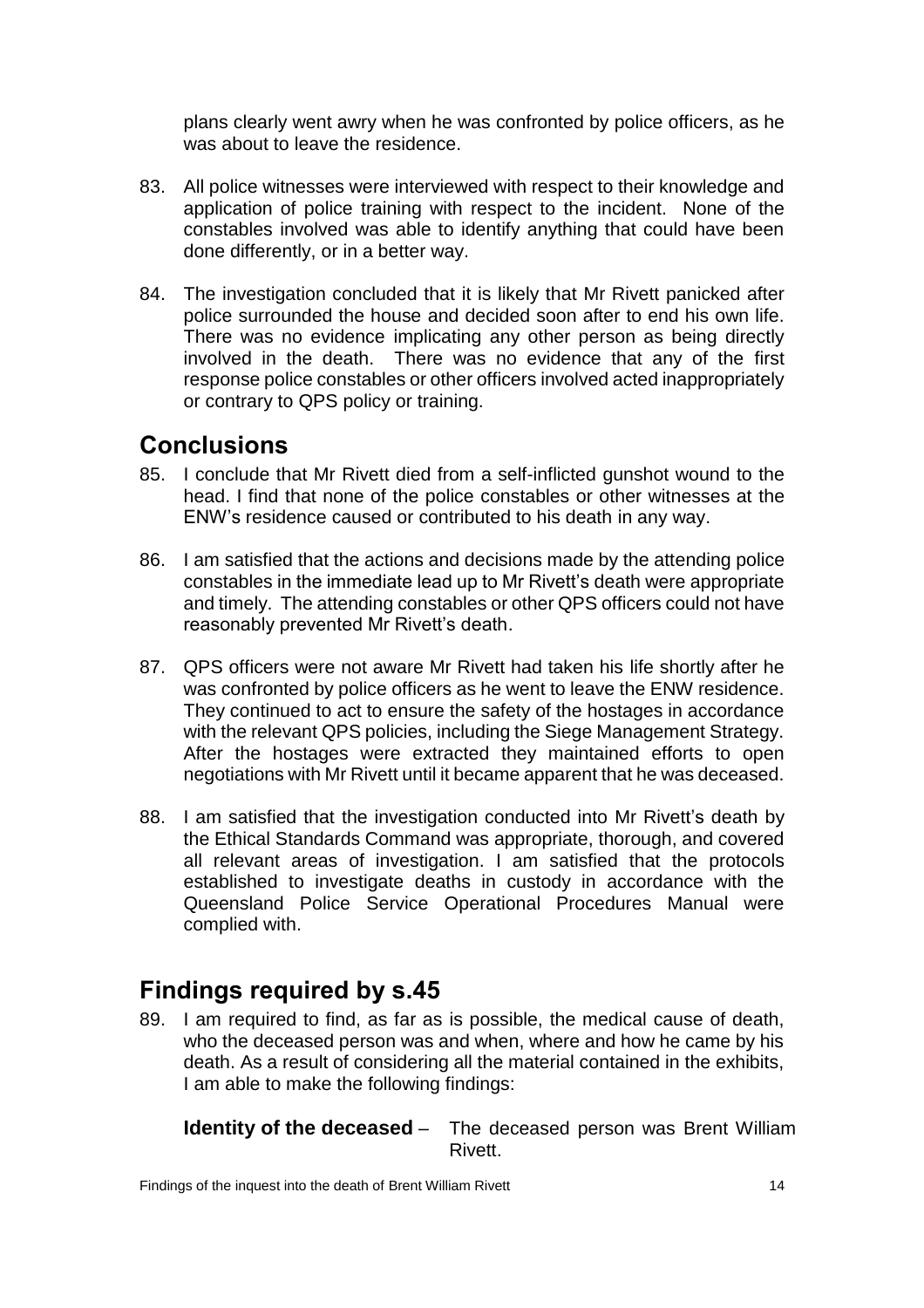plans clearly went awry when he was confronted by police officers, as he was about to leave the residence.

- 83. All police witnesses were interviewed with respect to their knowledge and application of police training with respect to the incident. None of the constables involved was able to identify anything that could have been done differently, or in a better way.
- 84. The investigation concluded that it is likely that Mr Rivett panicked after police surrounded the house and decided soon after to end his own life. There was no evidence implicating any other person as being directly involved in the death. There was no evidence that any of the first response police constables or other officers involved acted inappropriately or contrary to QPS policy or training.

## <span id="page-15-0"></span>**Conclusions**

- 85. I conclude that Mr Rivett died from a self-inflicted gunshot wound to the head. I find that none of the police constables or other witnesses at the ENW's residence caused or contributed to his death in any way.
- 86. I am satisfied that the actions and decisions made by the attending police constables in the immediate lead up to Mr Rivett's death were appropriate and timely. The attending constables or other QPS officers could not have reasonably prevented Mr Rivett's death.
- 87. QPS officers were not aware Mr Rivett had taken his life shortly after he was confronted by police officers as he went to leave the ENW residence. They continued to act to ensure the safety of the hostages in accordance with the relevant QPS policies, including the Siege Management Strategy. After the hostages were extracted they maintained efforts to open negotiations with Mr Rivett until it became apparent that he was deceased.
- 88. I am satisfied that the investigation conducted into Mr Rivett's death by the Ethical Standards Command was appropriate, thorough, and covered all relevant areas of investigation. I am satisfied that the protocols established to investigate deaths in custody in accordance with the Queensland Police Service Operational Procedures Manual were complied with.

## <span id="page-15-1"></span>**Findings required by s.45**

89. I am required to find, as far as is possible, the medical cause of death, who the deceased person was and when, where and how he came by his death. As a result of considering all the material contained in the exhibits, I am able to make the following findings:

**Identity of the deceased** – The deceased person was Brent William Rivett.